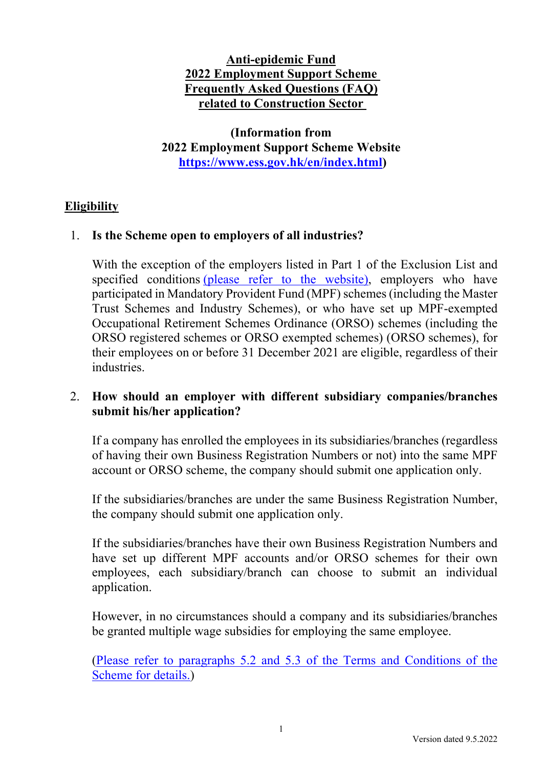# **Anti-epidemic Fund 2022 Employment Support Scheme Frequently Asked Questions (FAQ) related to Construction Sector**

**(Information from 2022 Employment Support Scheme Website https://www.ess.gov.hk/en/index.html)** 

## **Eligibility**

## 1. **Is the Scheme open to employers of all industries?**

With the exception of the employers listed in Part 1 of the Exclusion List and specified conditions (please refer to the website), employers who have participated in Mandatory Provident Fund (MPF) schemes (including the Master Trust Schemes and Industry Schemes), or who have set up MPF-exempted Occupational Retirement Schemes Ordinance (ORSO) schemes (including the ORSO registered schemes or ORSO exempted schemes) (ORSO schemes), for their employees on or before 31 December 2021 are eligible, regardless of their industries.

## 2. **How should an employer with different subsidiary companies/branches submit his/her application?**

If a company has enrolled the employees in its subsidiaries/branches (regardless of having their own Business Registration Numbers or not) into the same MPF account or ORSO scheme, the company should submit one application only.

If the subsidiaries/branches are under the same Business Registration Number, the company should submit one application only.

If the subsidiaries/branches have their own Business Registration Numbers and have set up different MPF accounts and/or ORSO schemes for their own employees, each subsidiary/branch can choose to submit an individual application.

However, in no circumstances should a company and its subsidiaries/branches be granted multiple wage subsidies for employing the same employee.

(Please refer to paragraphs 5.2 and 5.3 of the Terms and Conditions of the Scheme for details.)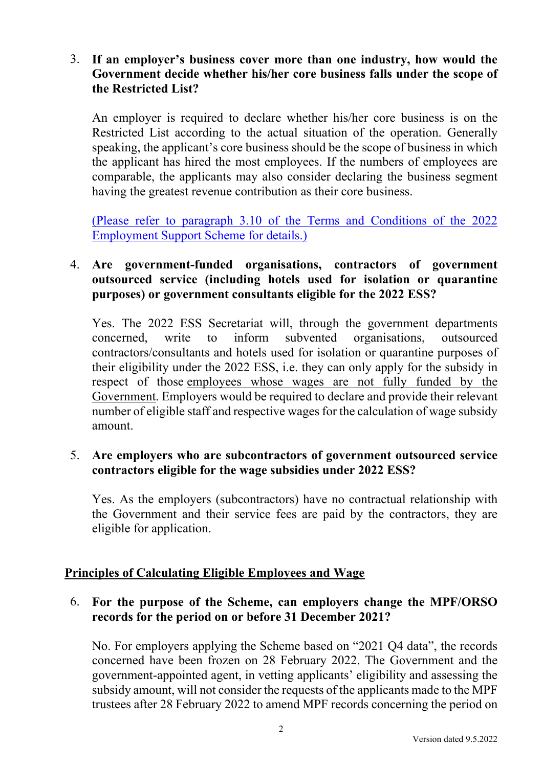## 3. **If an employer's business cover more than one industry, how would the Government decide whether his/her core business falls under the scope of the Restricted List?**

An employer is required to declare whether his/her core business is on the Restricted List according to the actual situation of the operation. Generally speaking, the applicant's core business should be the scope of business in which the applicant has hired the most employees. If the numbers of employees are comparable, the applicants may also consider declaring the business segment having the greatest revenue contribution as their core business.

(Please refer to paragraph 3.10 of the Terms and Conditions of the 2022 Employment Support Scheme for details.)

## 4. **Are government-funded organisations, contractors of government outsourced service (including hotels used for isolation or quarantine purposes) or government consultants eligible for the 2022 ESS?**

Yes. The 2022 ESS Secretariat will, through the government departments concerned, write to inform subvented organisations, outsourced contractors/consultants and hotels used for isolation or quarantine purposes of their eligibility under the 2022 ESS, i.e. they can only apply for the subsidy in respect of those employees whose wages are not fully funded by the Government. Employers would be required to declare and provide their relevant number of eligible staff and respective wages for the calculation of wage subsidy amount.

#### 5. **Are employers who are subcontractors of government outsourced service contractors eligible for the wage subsidies under 2022 ESS?**

Yes. As the employers (subcontractors) have no contractual relationship with the Government and their service fees are paid by the contractors, they are eligible for application.

#### **Principles of Calculating Eligible Employees and Wage**

## 6. **For the purpose of the Scheme, can employers change the MPF/ORSO records for the period on or before 31 December 2021?**

No. For employers applying the Scheme based on "2021 Q4 data", the records concerned have been frozen on 28 February 2022. The Government and the government-appointed agent, in vetting applicants' eligibility and assessing the subsidy amount, will not consider the requests of the applicants made to the MPF trustees after 28 February 2022 to amend MPF records concerning the period on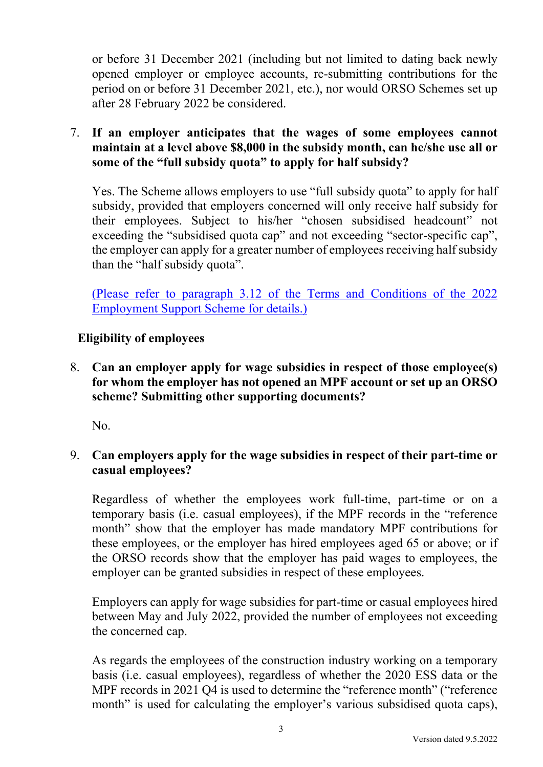or before 31 December 2021 (including but not limited to dating back newly opened employer or employee accounts, re-submitting contributions for the period on or before 31 December 2021, etc.), nor would ORSO Schemes set up after 28 February 2022 be considered.

7. **If an employer anticipates that the wages of some employees cannot maintain at a level above \$8,000 in the subsidy month, can he/she use all or some of the "full subsidy quota" to apply for half subsidy?** 

Yes. The Scheme allows employers to use "full subsidy quota" to apply for half subsidy, provided that employers concerned will only receive half subsidy for their employees. Subject to his/her "chosen subsidised headcount" not exceeding the "subsidised quota cap" and not exceeding "sector-specific cap", the employer can apply for a greater number of employees receiving half subsidy than the "half subsidy quota".

(Please refer to paragraph 3.12 of the Terms and Conditions of the 2022 Employment Support Scheme for details.)

# **Eligibility of employees**

8. **Can an employer apply for wage subsidies in respect of those employee(s) for whom the employer has not opened an MPF account or set up an ORSO scheme? Submitting other supporting documents?** 

No.

9. **Can employers apply for the wage subsidies in respect of their part-time or casual employees?** 

Regardless of whether the employees work full-time, part-time or on a temporary basis (i.e. casual employees), if the MPF records in the "reference month" show that the employer has made mandatory MPF contributions for these employees, or the employer has hired employees aged 65 or above; or if the ORSO records show that the employer has paid wages to employees, the employer can be granted subsidies in respect of these employees.

Employers can apply for wage subsidies for part-time or casual employees hired between May and July 2022, provided the number of employees not exceeding the concerned cap.

As regards the employees of the construction industry working on a temporary basis (i.e. casual employees), regardless of whether the 2020 ESS data or the MPF records in 2021 Q4 is used to determine the "reference month" ("reference month" is used for calculating the employer's various subsidised quota caps),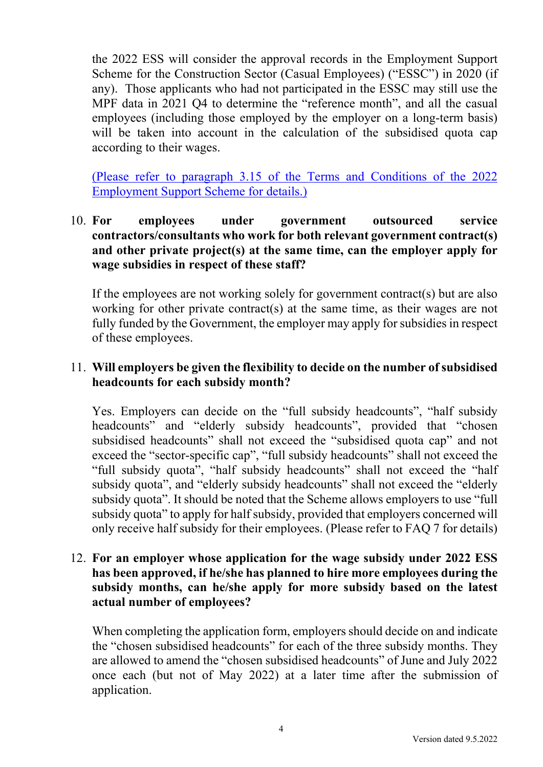the 2022 ESS will consider the approval records in the Employment Support Scheme for the Construction Sector (Casual Employees) ("ESSC") in 2020 (if any). Those applicants who had not participated in the ESSC may still use the MPF data in 2021 Q4 to determine the "reference month", and all the casual employees (including those employed by the employer on a long-term basis) will be taken into account in the calculation of the subsidised quota cap according to their wages.

(Please refer to paragraph 3.15 of the Terms and Conditions of the 2022 Employment Support Scheme for details.)

## 10. **For employees under government outsourced service contractors/consultants who work for both relevant government contract(s) and other private project(s) at the same time, can the employer apply for wage subsidies in respect of these staff?**

If the employees are not working solely for government contract(s) but are also working for other private contract(s) at the same time, as their wages are not fully funded by the Government, the employer may apply for subsidies in respect of these employees.

#### 11. **Will employers be given the flexibility to decide on the number of subsidised headcounts for each subsidy month?**

Yes. Employers can decide on the "full subsidy headcounts", "half subsidy headcounts" and "elderly subsidy headcounts", provided that "chosen subsidised headcounts" shall not exceed the "subsidised quota cap" and not exceed the "sector-specific cap", "full subsidy headcounts" shall not exceed the "full subsidy quota", "half subsidy headcounts" shall not exceed the "half subsidy quota", and "elderly subsidy headcounts" shall not exceed the "elderly subsidy quota". It should be noted that the Scheme allows employers to use "full subsidy quota" to apply for half subsidy, provided that employers concerned will only receive half subsidy for their employees. (Please refer to FAQ 7 for details)

### 12. **For an employer whose application for the wage subsidy under 2022 ESS has been approved, if he/she has planned to hire more employees during the subsidy months, can he/she apply for more subsidy based on the latest actual number of employees?**

When completing the application form, employers should decide on and indicate the "chosen subsidised headcounts" for each of the three subsidy months. They are allowed to amend the "chosen subsidised headcounts" of June and July 2022 once each (but not of May 2022) at a later time after the submission of application.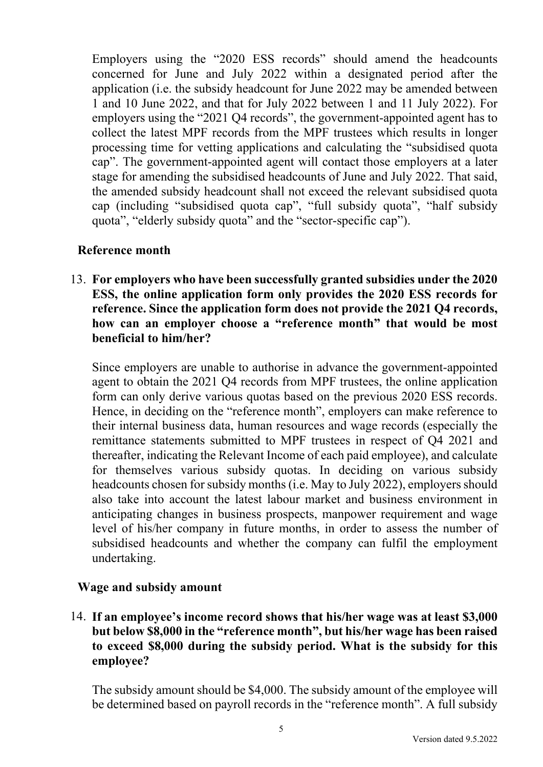Employers using the "2020 ESS records" should amend the headcounts concerned for June and July 2022 within a designated period after the application (i.e. the subsidy headcount for June 2022 may be amended between 1 and 10 June 2022, and that for July 2022 between 1 and 11 July 2022). For employers using the "2021 Q4 records", the government-appointed agent has to collect the latest MPF records from the MPF trustees which results in longer processing time for vetting applications and calculating the "subsidised quota cap". The government-appointed agent will contact those employers at a later stage for amending the subsidised headcounts of June and July 2022. That said, the amended subsidy headcount shall not exceed the relevant subsidised quota cap (including "subsidised quota cap", "full subsidy quota", "half subsidy quota", "elderly subsidy quota" and the "sector-specific cap").

# **Reference month**

13. **For employers who have been successfully granted subsidies under the 2020 ESS, the online application form only provides the 2020 ESS records for reference. Since the application form does not provide the 2021 Q4 records, how can an employer choose a "reference month" that would be most beneficial to him/her?** 

Since employers are unable to authorise in advance the government-appointed agent to obtain the 2021 Q4 records from MPF trustees, the online application form can only derive various quotas based on the previous 2020 ESS records. Hence, in deciding on the "reference month", employers can make reference to their internal business data, human resources and wage records (especially the remittance statements submitted to MPF trustees in respect of Q4 2021 and thereafter, indicating the Relevant Income of each paid employee), and calculate for themselves various subsidy quotas. In deciding on various subsidy headcounts chosen for subsidy months (i.e. May to July 2022), employers should also take into account the latest labour market and business environment in anticipating changes in business prospects, manpower requirement and wage level of his/her company in future months, in order to assess the number of subsidised headcounts and whether the company can fulfil the employment undertaking.

#### **Wage and subsidy amount**

14. **If an employee's income record shows that his/her wage was at least \$3,000 but below \$8,000 in the "reference month", but his/her wage has been raised to exceed \$8,000 during the subsidy period. What is the subsidy for this employee?** 

The subsidy amount should be \$4,000. The subsidy amount of the employee will be determined based on payroll records in the "reference month". A full subsidy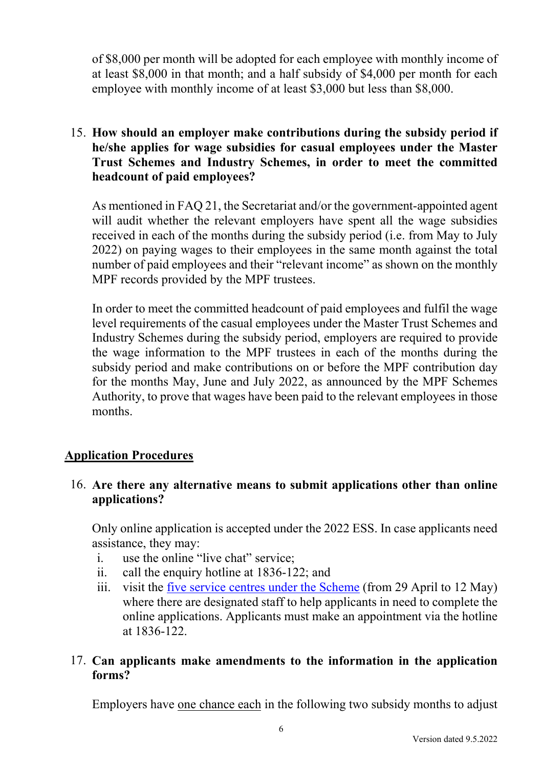of \$8,000 per month will be adopted for each employee with monthly income of at least \$8,000 in that month; and a half subsidy of \$4,000 per month for each employee with monthly income of at least \$3,000 but less than \$8,000.

# 15. **How should an employer make contributions during the subsidy period if he/she applies for wage subsidies for casual employees under the Master Trust Schemes and Industry Schemes, in order to meet the committed headcount of paid employees?**

As mentioned in FAQ 21, the Secretariat and/or the government-appointed agent will audit whether the relevant employers have spent all the wage subsidies received in each of the months during the subsidy period (i.e. from May to July 2022) on paying wages to their employees in the same month against the total number of paid employees and their "relevant income" as shown on the monthly MPF records provided by the MPF trustees.

In order to meet the committed headcount of paid employees and fulfil the wage level requirements of the casual employees under the Master Trust Schemes and Industry Schemes during the subsidy period, employers are required to provide the wage information to the MPF trustees in each of the months during the subsidy period and make contributions on or before the MPF contribution day for the months May, June and July 2022, as announced by the MPF Schemes Authority, to prove that wages have been paid to the relevant employees in those months.

# **Application Procedures**

## 16. **Are there any alternative means to submit applications other than online applications?**

Only online application is accepted under the 2022 ESS. In case applicants need assistance, they may:

- i. use the online "live chat" service;
- ii. call the enquiry hotline at 1836-122; and
- iii. visit the five service centres under the Scheme (from 29 April to 12 May) where there are designated staff to help applicants in need to complete the online applications. Applicants must make an appointment via the hotline at 1836-122.

# 17. **Can applicants make amendments to the information in the application forms?**

Employers have one chance each in the following two subsidy months to adjust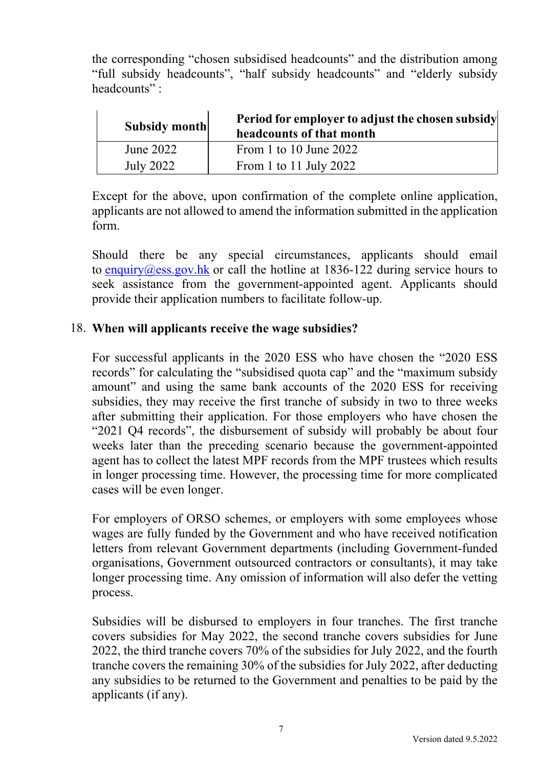the corresponding "chosen subsidised headcounts" and the distribution among "full subsidy headcounts", "half subsidy headcounts" and "elderly subsidy headcounts" :

| <b>Subsidy month</b> | Period for employer to adjust the chosen subsidy<br>headcounts of that month |
|----------------------|------------------------------------------------------------------------------|
| June 2022            | From 1 to 10 June $2022$                                                     |
| July 2022            | From 1 to 11 July 2022                                                       |

Except for the above, upon confirmation of the complete online application, applicants are not allowed to amend the information submitted in the application form.

Should there be any special circumstances, applicants should email to enquiry@ess.gov.hk or call the hotline at  $1836-122$  during service hours to seek assistance from the government-appointed agent. Applicants should provide their application numbers to facilitate follow-up.

#### 18. **When will applicants receive the wage subsidies?**

For successful applicants in the 2020 ESS who have chosen the "2020 ESS records" for calculating the "subsidised quota cap" and the "maximum subsidy amount" and using the same bank accounts of the 2020 ESS for receiving subsidies, they may receive the first tranche of subsidy in two to three weeks after submitting their application. For those employers who have chosen the "2021 Q4 records", the disbursement of subsidy will probably be about four weeks later than the preceding scenario because the government-appointed agent has to collect the latest MPF records from the MPF trustees which results in longer processing time. However, the processing time for more complicated cases will be even longer.

For employers of ORSO schemes, or employers with some employees whose wages are fully funded by the Government and who have received notification letters from relevant Government departments (including Government-funded organisations, Government outsourced contractors or consultants), it may take longer processing time. Any omission of information will also defer the vetting process.

Subsidies will be disbursed to employers in four tranches. The first tranche covers subsidies for May 2022, the second tranche covers subsidies for June 2022, the third tranche covers 70% of the subsidies for July 2022, and the fourth tranche covers the remaining 30% of the subsidies for July 2022, after deducting any subsidies to be returned to the Government and penalties to be paid by the applicants (if any).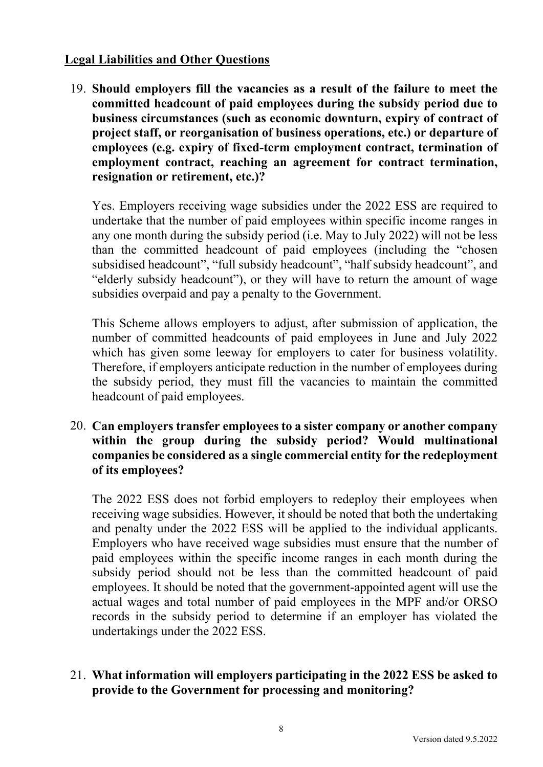## **Legal Liabilities and Other Questions**

19. **Should employers fill the vacancies as a result of the failure to meet the committed headcount of paid employees during the subsidy period due to business circumstances (such as economic downturn, expiry of contract of project staff, or reorganisation of business operations, etc.) or departure of employees (e.g. expiry of fixed-term employment contract, termination of employment contract, reaching an agreement for contract termination, resignation or retirement, etc.)?** 

Yes. Employers receiving wage subsidies under the 2022 ESS are required to undertake that the number of paid employees within specific income ranges in any one month during the subsidy period (i.e. May to July 2022) will not be less than the committed headcount of paid employees (including the "chosen subsidised headcount", "full subsidy headcount", "half subsidy headcount", and "elderly subsidy headcount"), or they will have to return the amount of wage subsidies overpaid and pay a penalty to the Government.

This Scheme allows employers to adjust, after submission of application, the number of committed headcounts of paid employees in June and July 2022 which has given some leeway for employers to cater for business volatility. Therefore, if employers anticipate reduction in the number of employees during the subsidy period, they must fill the vacancies to maintain the committed headcount of paid employees.

20. **Can employers transfer employees to a sister company or another company within the group during the subsidy period? Would multinational companies be considered as a single commercial entity for the redeployment of its employees?** 

The 2022 ESS does not forbid employers to redeploy their employees when receiving wage subsidies. However, it should be noted that both the undertaking and penalty under the 2022 ESS will be applied to the individual applicants. Employers who have received wage subsidies must ensure that the number of paid employees within the specific income ranges in each month during the subsidy period should not be less than the committed headcount of paid employees. It should be noted that the government-appointed agent will use the actual wages and total number of paid employees in the MPF and/or ORSO records in the subsidy period to determine if an employer has violated the undertakings under the 2022 ESS.

21. **What information will employers participating in the 2022 ESS be asked to provide to the Government for processing and monitoring?**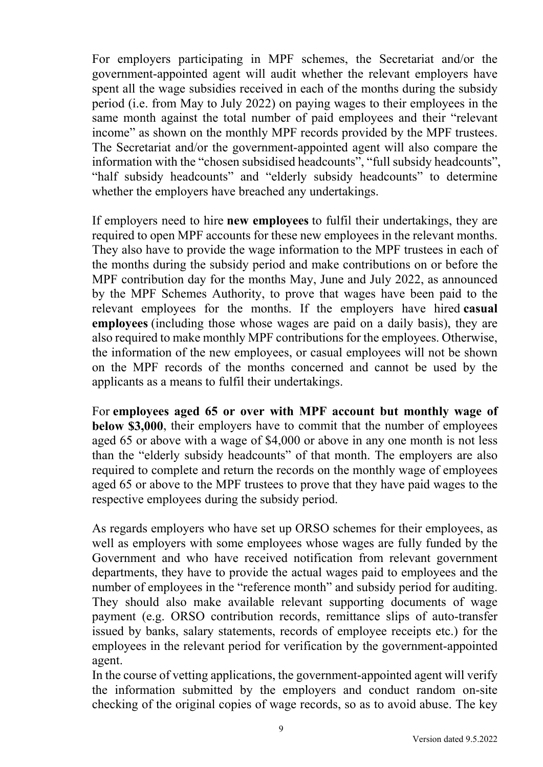For employers participating in MPF schemes, the Secretariat and/or the government-appointed agent will audit whether the relevant employers have spent all the wage subsidies received in each of the months during the subsidy period (i.e. from May to July 2022) on paying wages to their employees in the same month against the total number of paid employees and their "relevant income" as shown on the monthly MPF records provided by the MPF trustees. The Secretariat and/or the government-appointed agent will also compare the information with the "chosen subsidised headcounts", "full subsidy headcounts", "half subsidy headcounts" and "elderly subsidy headcounts" to determine whether the employers have breached any undertakings.

If employers need to hire **new employees** to fulfil their undertakings, they are required to open MPF accounts for these new employees in the relevant months. They also have to provide the wage information to the MPF trustees in each of the months during the subsidy period and make contributions on or before the MPF contribution day for the months May, June and July 2022, as announced by the MPF Schemes Authority, to prove that wages have been paid to the relevant employees for the months. If the employers have hired **casual employees** (including those whose wages are paid on a daily basis), they are also required to make monthly MPF contributions for the employees. Otherwise, the information of the new employees, or casual employees will not be shown on the MPF records of the months concerned and cannot be used by the applicants as a means to fulfil their undertakings.

For **employees aged 65 or over with MPF account but monthly wage of below \$3,000**, their employers have to commit that the number of employees aged 65 or above with a wage of \$4,000 or above in any one month is not less than the "elderly subsidy headcounts" of that month. The employers are also required to complete and return the records on the monthly wage of employees aged 65 or above to the MPF trustees to prove that they have paid wages to the respective employees during the subsidy period.

As regards employers who have set up ORSO schemes for their employees, as well as employers with some employees whose wages are fully funded by the Government and who have received notification from relevant government departments, they have to provide the actual wages paid to employees and the number of employees in the "reference month" and subsidy period for auditing. They should also make available relevant supporting documents of wage payment (e.g. ORSO contribution records, remittance slips of auto-transfer issued by banks, salary statements, records of employee receipts etc.) for the employees in the relevant period for verification by the government-appointed agent.

In the course of vetting applications, the government-appointed agent will verify the information submitted by the employers and conduct random on-site checking of the original copies of wage records, so as to avoid abuse. The key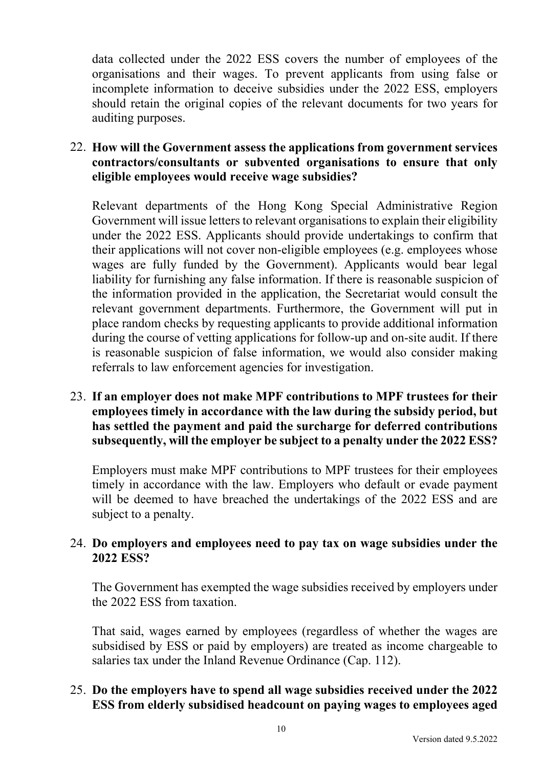data collected under the 2022 ESS covers the number of employees of the organisations and their wages. To prevent applicants from using false or incomplete information to deceive subsidies under the 2022 ESS, employers should retain the original copies of the relevant documents for two years for auditing purposes.

## 22. **How will the Government assess the applications from government services contractors/consultants or subvented organisations to ensure that only eligible employees would receive wage subsidies?**

Relevant departments of the Hong Kong Special Administrative Region Government will issue letters to relevant organisations to explain their eligibility under the 2022 ESS. Applicants should provide undertakings to confirm that their applications will not cover non-eligible employees (e.g. employees whose wages are fully funded by the Government). Applicants would bear legal liability for furnishing any false information. If there is reasonable suspicion of the information provided in the application, the Secretariat would consult the relevant government departments. Furthermore, the Government will put in place random checks by requesting applicants to provide additional information during the course of vetting applications for follow-up and on-site audit. If there is reasonable suspicion of false information, we would also consider making referrals to law enforcement agencies for investigation.

## 23. **If an employer does not make MPF contributions to MPF trustees for their employees timely in accordance with the law during the subsidy period, but has settled the payment and paid the surcharge for deferred contributions subsequently, will the employer be subject to a penalty under the 2022 ESS?**

Employers must make MPF contributions to MPF trustees for their employees timely in accordance with the law. Employers who default or evade payment will be deemed to have breached the undertakings of the 2022 ESS and are subject to a penalty.

## 24. **Do employers and employees need to pay tax on wage subsidies under the 2022 ESS?**

The Government has exempted the wage subsidies received by employers under the 2022 ESS from taxation.

That said, wages earned by employees (regardless of whether the wages are subsidised by ESS or paid by employers) are treated as income chargeable to salaries tax under the Inland Revenue Ordinance (Cap. 112).

# 25. **Do the employers have to spend all wage subsidies received under the 2022 ESS from elderly subsidised headcount on paying wages to employees aged**